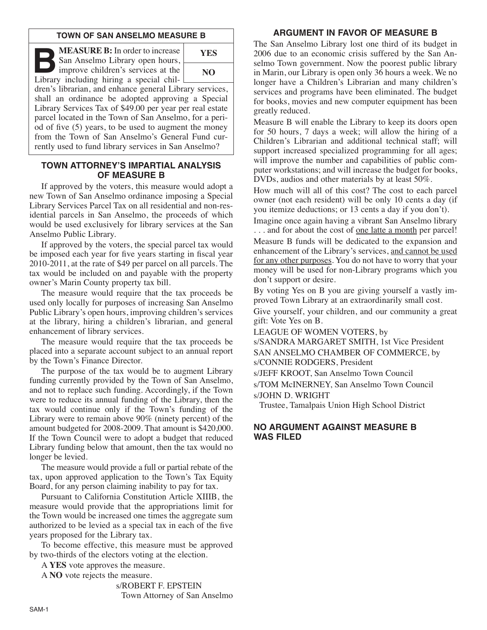### **TOWN OF SAN ANSELMO MEASURE B**

**B:** In order to increase<br>
San Anselmo Library open hours,<br>
improve children's services at the<br>
Library including hiring a special chil-San Anselmo Library open hours,



Library including hiring a special children's librarian, and enhance general Library services, shall an ordinance be adopted approving a Special Library Services Tax of \$49.00 per year per real estate parcel located in the Town of San Anselmo, for a period of five (5) years, to be used to augment the money from the Town of San Anselmo's General Fund currently used to fund library services in San Anselmo?

#### **TOWN ATTORNEY'S IMPARTIAL ANALYSIS OF MEASURE B**

If approved by the voters, this measure would adopt a new Town of San Anselmo ordinance imposing a Special Library Services Parcel Tax on all residential and non-residential parcels in San Anselmo, the proceeds of which would be used exclusively for library services at the San Anselmo Public Library.

If approved by the voters, the special parcel tax would be imposed each year for five years starting in fiscal year 2010-2011, at the rate of \$49 per parcel on all parcels. The tax would be included on and payable with the property owner's Marin County property tax bill.

The measure would require that the tax proceeds be used only locally for purposes of increasing San Anselmo Public Library's open hours, improving children's services at the library, hiring a children's librarian, and general enhancement of library services.

The measure would require that the tax proceeds be placed into a separate account subject to an annual report by the Town's Finance Director.

The purpose of the tax would be to augment Library funding currently provided by the Town of San Anselmo, and not to replace such funding. Accordingly, if the Town were to reduce its annual funding of the Library, then the tax would continue only if the Town's funding of the Library were to remain above 90% (ninety percent) of the amount budgeted for 2008-2009. That amount is \$420,000. If the Town Council were to adopt a budget that reduced Library funding below that amount, then the tax would no longer be levied.

The measure would provide a full or partial rebate of the tax, upon approved application to the Town's Tax Equity Board, for any person claiming inability to pay for tax.

Pursuant to California Constitution Article XIIIB, the measure would provide that the appropriations limit for the Town would be increased one times the aggregate sum authorized to be levied as a special tax in each of the five years proposed for the Library tax.

To become effective, this measure must be approved by two-thirds of the electors voting at the election.

A **YES** vote approves the measure.

A **NO** vote rejects the measure.

s/ROBERT F. EPSTEIN Town Attorney of San Anselmo

# **ARGUMENT IN FAVOR OF MEASURE B**

The San Anselmo Library lost one third of its budget in 2006 due to an economic crisis suffered by the San Anselmo Town government. Now the poorest public library in Marin, our Library is open only 36 hours a week. We no longer have a Children's Librarian and many children's services and programs have been eliminated. The budget for books, movies and new computer equipment has been greatly reduced.

Measure B will enable the Library to keep its doors open for 50 hours, 7 days a week; will allow the hiring of a Children's Librarian and additional technical staff; will support increased specialized programming for all ages; will improve the number and capabilities of public computer workstations; and will increase the budget for books, DVDs, audios and other materials by at least 50%.

How much will all of this cost? The cost to each parcel owner (not each resident) will be only 10 cents a day (if you itemize deductions; or 13 cents a day if you don't).

Imagine once again having a vibrant San Anselmo library ... and for about the cost of <u>one latte a month</u> per parcel! Measure B funds will be dedicated to the expansion and enhancement of the Library's services, and cannot be used for any other purposes. You do not have to worry that your money will be used for non-Library programs which you don't support or desire.

By voting Yes on B you are giving yourself a vastly improved Town Library at an extraordinarily small cost.

Give yourself, your children, and our community a great gift: Vote Yes on B.

LEAGUE OF WOMEN VOTERS, by

s/SANDRA MARGARET SMITH, 1st Vice President SAN ANSELMO CHAMBER OF COMMERCE, by s/CONNIE RODGERS, President

s/JEFF KROOT, San Anselmo Town Council

s/TOM McINERNEY, San Anselmo Town Council s/JOHN D. WRIGHT

Trustee, Tamalpais Union High School District

### **NO ARGUMENT AGAINST MEASURE B WAS FILED**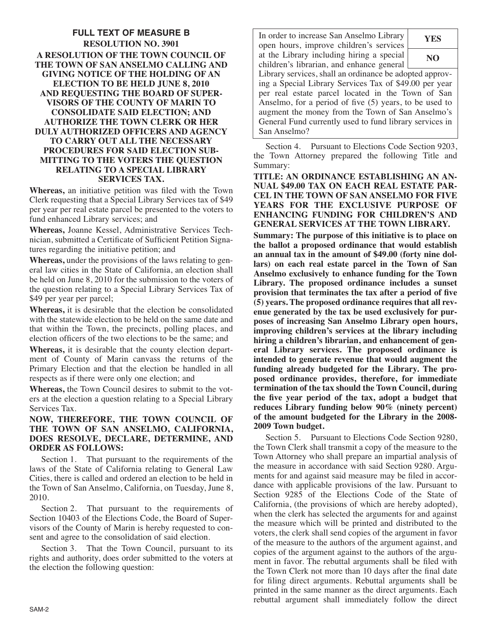### **FULL TEXT OF MEASURE B RESOLUTION NO. 3901 A RESOLUTION OF THE TOWN COUNCIL OF THE TOWN OF SAN ANSELMO CALLING AND GIVING NOTICE OF THE HOLDING OF AN ELECTION TO BE HELD JUNE 8, 2010 AND REQUESTING THE BOARD OF SUPER-VISORS OF THE COUNTY OF MARIN TO CONSOLIDATE SAID ELECTION; AND AUTHORIZE THE TOWN CLERK OR HER DULY AUTHORIZED OFFICERS AND AGENCY TO CARRY OUT ALL THE NECESSARY PROCEDURES FOR SAID ELECTION SUB-MITTING TO THE VOTERS THE QUESTION RELATING TO A SPECIAL LIBRARY SERVICES TAX.**

**Whereas,** an initiative petition was filed with the Town Clerk requesting that a Special Library Services tax of \$49 per year per real estate parcel be presented to the voters to fund enhanced Library services; and

Whereas, Joanne Kessel, Administrative Services Technician, submitted a Certificate of Sufficient Petition Signatures regarding the initiative petition; and

**Whereas,** under the provisions of the laws relating to general law cities in the State of California, an election shall be held on June 8, 2010 for the submission to the voters of the question relating to a Special Library Services Tax of \$49 per year per parcel;

**Whereas,** it is desirable that the election be consolidated with the statewide election to be held on the same date and that within the Town, the precincts, polling places, and election officers of the two elections to be the same; and

**Whereas,** it is desirable that the county election department of County of Marin canvass the returns of the Primary Election and that the election be handled in all respects as if there were only one election; and

**Whereas,** the Town Council desires to submit to the voters at the election a question relating to a Special Library Services Tax.

### **NOW, THEREFORE, THE TOWN COUNCIL OF THE TOWN OF SAN ANSELMO, CALIFORNIA, DOES RESOLVE, DECLARE, DETERMINE, AND ORDER AS FOLLOWS:**

Section 1. That pursuant to the requirements of the laws of the State of California relating to General Law Cities, there is called and ordered an election to be held in the Town of San Anselmo, California, on Tuesday, June 8, 2010.

Section 2. That pursuant to the requirements of Section 10403 of the Elections Code, the Board of Supervisors of the County of Marin is hereby requested to consent and agree to the consolidation of said election.

Section 3. That the Town Council, pursuant to its rights and authority, does order submitted to the voters at the election the following question:

In order to increase San Anselmo Library open hours, improve children's services at the Library including hiring a special children's librarian, and enhance general

**YES NO**

Library services, shall an ordinance be adopted approving a Special Library Services Tax of \$49.00 per year per real estate parcel located in the Town of San Anselmo, for a period of five (5) years, to be used to augment the money from the Town of San Anselmo's General Fund currently used to fund library services in San Anselmo?

Section 4. Pursuant to Elections Code Section 9203, the Town Attorney prepared the following Title and Summary:

**TITLE: AN ORDINANCE ESTABLISHING AN AN - NUAL \$49.00 TAX ON EACH REAL ESTATE PAR-CEL IN THE TOWN OF SAN ANSELMO FOR FIVE YEARS FOR THE EXCLUSIVE PURPOSE OF ENHANCING FUNDING FOR CHILDREN'S AND GENERAL SERVICES AT THE TOWN LIBRARY.**

**Summary: The purpose of this initiative is to place on the ballot a proposed ordinance that would establish an annual tax in the amount of \$49.00 (forty nine dollars) on each real estate parcel in the Town of San Anselmo exclusively to enhance funding for the Town Library. The proposed ordinance includes a sunset provision that terminates the tax after a period of five (5) years. The proposed ordinance requires that all revenue generated by the tax be used exclusively for purposes of increasing San Anselmo Library open hours, improving children's services at the library including hiring a children's librarian, and enhancement of general Library services. The proposed ordinance is intended to generate revenue that would augment the funding already budgeted for the Library. The proposed ordinance provides, therefore, for immediate termination of the tax should the Town Council, during the five year period of the tax, adopt a budget that reduces Library funding below 90% (ninety percent) of the amount budgeted for the Library in the 2008- 2009 Town budget.**

Section 5. Pursuant to Elections Code Section 9280, the Town Clerk shall transmit a copy of the measure to the Town Attorney who shall prepare an impartial analysis of the measure in accordance with said Section 9280. Arguments for and against said measure may be filed in accordance with applicable provisions of the law. Pursuant to Section 9285 of the Elections Code of the State of California, (the provisions of which are hereby adopted), when the clerk has selected the arguments for and against the measure which will be printed and distributed to the voters, the clerk shall send copies of the argument in favor of the measure to the authors of the argument against, and copies of the argument against to the authors of the argument in favor. The rebuttal arguments shall be filed with the Town Clerk not more than 10 days after the final date for filing direct arguments. Rebuttal arguments shall be printed in the same manner as the direct arguments. Each rebuttal argument shall immediately follow the direct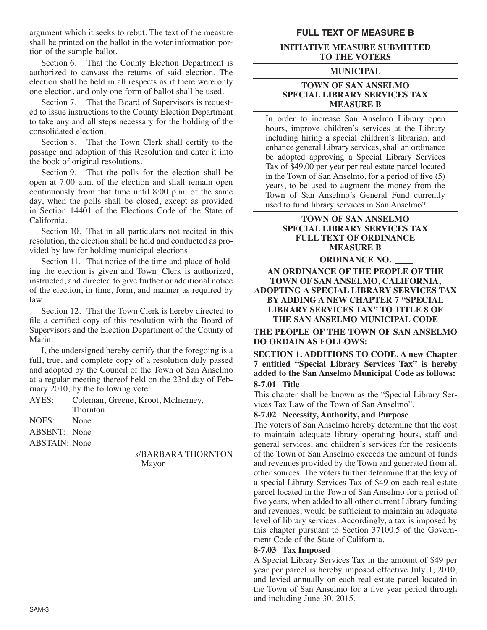argument which it seeks to rebut. The text of the measure shall be printed on the ballot in the voter information portion of the sample ballot.

Section 6. That the County Election Department is authorized to canvass the returns of said election. The election shall be held in all respects as if there were only one election, and only one form of ballot shall be used.

Section 7. That the Board of Supervisors is requested to issue instructions to the County Election Department to take any and all steps necessary for the holding of the consolidated election.

Section 8. That the Town Clerk shall certify to the passage and adoption of this Resolution and enter it into the book of original resolutions.

Section 9. That the polls for the election shall be open at 7:00 a.m. of the election and shall remain open continuously from that time until 8:00 p.m. of the same day, when the polls shall be closed, except as provided in Section 14401 of the Elections Code of the State of California.

Section 10. That in all particulars not recited in this resolution, the election shall be held and conducted as provided by law for holding municipal elections.

Section 11. That notice of the time and place of holding the election is given and Town Clerk is authorized, instructed, and directed to give further or additional notice of the election, in time, form, and manner as required by law.

Section 12. That the Town Clerk is hereby directed to file a certified copy of this resolution with the Board of Supervisors and the Election Department of the County of Marin.

I, the undersigned hereby certify that the foregoing is a full, true, and complete copy of a resolution duly passed and adopted by the Council of the Town of San Anselmo at a regular meeting thereof held on the 23rd day of Feb ruary 2010, by the following vote:

AYES: Coleman, Greene, Kroot, McInerney, Thornton

NOES: None

ABSENT: None

ABSTAIN: None

#### s/BARBARA THORNTON Mayor

## **FULL TEXT OF MEASURE B**

#### **INITIATIVE MEASURE SUBMITTED TO THE VOTERS**

#### **MUNICIPAL**

#### **TOWN OF SAN ANSELMO SPECIAL LIBRARY SERVICES TAX MEASURE B**

In order to increase San Anselmo Library open hours, improve children's services at the Library including hiring a special children's librarian, and enhance general Library services, shall an ordinance be adopted approving a Special Library Services Tax of \$49.00 per year per real estate parcel located in the Town of San Anselmo, for a period of five (5) years, to be used to augment the money from the Town of San Anselmo's General Fund currently used to fund library services in San Anselmo?

## **TOWN OF SAN ANSELMO SPECIAL LIBRARY SERVICES TAX FULL TEXT OF ORDINANCE MEASURE B**

#### **ORDINANCE NO.**

**AN ORDINANCE OF THE PEOPLE OF THE TOWN OF SAN ANSELMO, CALIFORNIA, ADOPTING A SPECIAL LIBRARY SERVICES TAX BY ADDING A NEW CHAPTER 7 "SPECIAL LIBRARY SERVICES TAX" TO TITLE 8 OF THE SAN ANSELMO MUNICIPAL CODE**

**THE PEOPLE OF THE TOWN OF SAN ANSELMO DO ORDAIN AS FOLLOWS:**

**SECTION 1. ADDITIONS TO CODE. A new Chapter 7 entitled "Special Library Services Tax" is hereby added to the San Anselmo Municipal Code as follows: 8-7.01 Title**

This chapter shall be known as the "Special Library Services Tax Law of the Town of San Anselmo".

### **8-7.02 Necessity, Authority, and Purpose**

The voters of San Anselmo hereby determine that the cost to maintain adequate library operating hours, staff and general services, and children's services for the residents of the Town of San Anselmo exceeds the amount of funds and revenues provided by the Town and generated from all other sources. The voters further determine that the levy of a special Library Services Tax of \$49 on each real estate parcel located in the Town of San Anselmo for a period of five years, when added to all other current Library funding and revenues, would be sufficient to maintain an adequate level of library services. Accordingly, a tax is imposed by this chapter pursuant to Section  $37100.5$  of the Government Code of the State of California.

### **8-7.03 Tax Imposed**

A Special Library Services Tax in the amount of \$49 per year per parcel is hereby imposed effective July 1, 2010, and levied annually on each real estate parcel located in the Town of San Anselmo for a five year period through and including June 30, 2015.